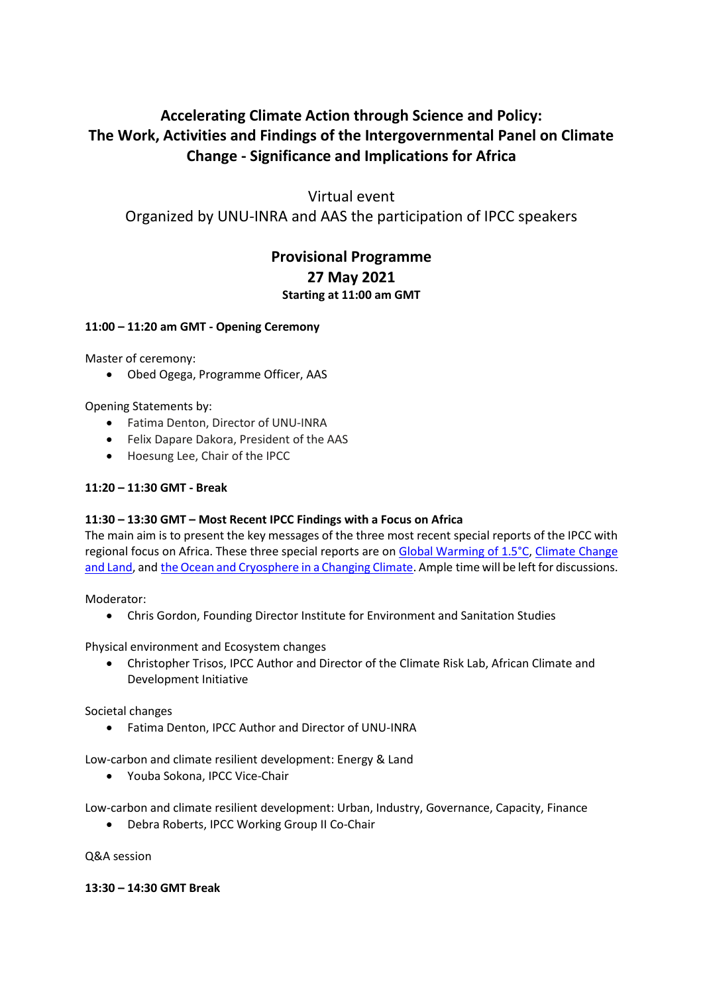# **Accelerating Climate Action through Science and Policy: The Work, Activities and Findings of the Intergovernmental Panel on Climate Change - Significance and Implications for Africa**

Virtual event

Organized by UNU-INRA and AAS the participation of IPCC speakers

# **Provisional Programme 27 May 2021 Starting at 11:00 am GMT**

# **11:00 – 11:20 am GMT - Opening Ceremony**

Master of ceremony:

• Obed Ogega, Programme Officer, AAS

Opening Statements by:

- Fatima Denton, Director of UNU-INRA
- Felix Dapare Dakora, President of the AAS
- Hoesung Lee, Chair of the IPCC

# **11:20 – 11:30 GMT - Break**

# **11:30 – 13:30 GMT – Most Recent IPCC Findings with a Focus on Africa**

The main aim is to present the key messages of the three most recent special reports of the IPCC with regional focus on Africa. These three special reports are on Global [Warming](https://www.ipcc.ch/sr15/) of 1.5°C, [Climate](https://www.ipcc.ch/srccl/) Change and [Land,](https://www.ipcc.ch/srccl/) and the Ocean and [Cryosphere](https://www.ipcc.ch/srocc/) in a Changing Climate. Ample time will be left for discussions.

Moderator:

• Chris Gordon, Founding Director Institute for Environment and Sanitation Studies

Physical environment and Ecosystem changes

• Christopher Trisos, IPCC Author and Director of the Climate Risk Lab, African Climate and Development Initiative

Societal changes

• Fatima Denton, IPCC Author and Director of UNU-INRA

Low-carbon and climate resilient development: Energy & Land

• Youba Sokona, IPCC Vice-Chair

Low-carbon and climate resilient development: Urban, Industry, Governance, Capacity, Finance

• Debra Roberts, IPCC Working Group II Co-Chair

Q&A session

**13:30 – 14:30 GMT Break**